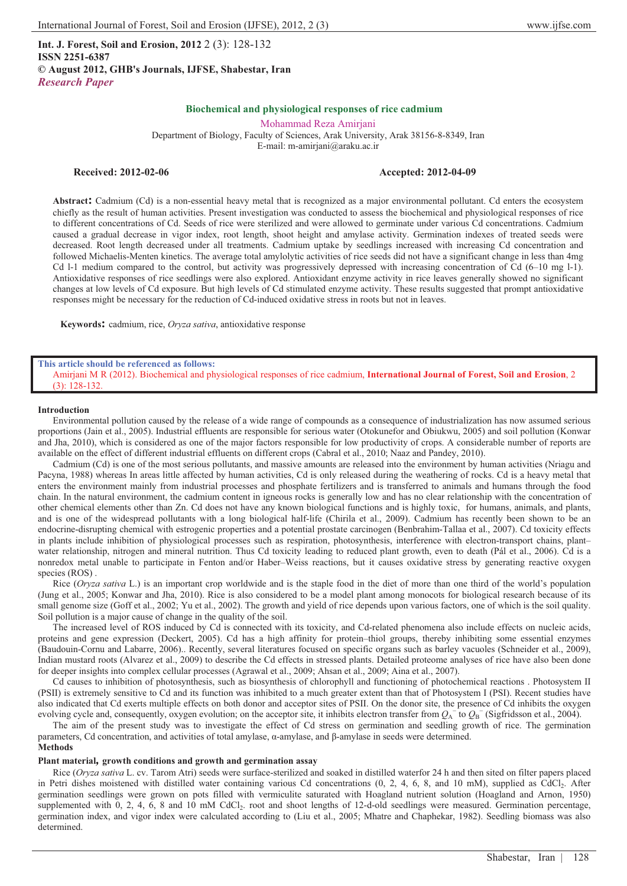**Int. J. Forest, Soil and Erosion, 2012** 2 (3): 128-132 **ISSN 2251-6387 © August 2012, GHB's Journals, IJFSE, Shabestar, Iran** *Research Paper*

## **Biochemical and physiological responses of rice cadmium**

Mohammad Reza Amirjani Department of Biology, Faculty of Sciences, Arak University, Arak 38156-8-8349, Iran E-mail: m-amirjani@araku.ac.ir

## **Received: 2012-02-06 Accepted: 2012-04-09**

**Abstract:** Cadmium (Cd) is a non-essential heavy metal that is recognized as a major environmental pollutant. Cd enters the ecosystem chiefly as the result of human activities. Present investigation was conducted to assess the biochemical and physiological responses of rice to different concentrations of Cd. Seeds of rice were sterilized and were allowed to germinate under various Cd concentrations. Cadmium caused a gradual decrease in vigor index, root length, shoot height and amylase activity. Germination indexes of treated seeds were decreased. Root length decreased under all treatments. Cadmium uptake by seedlings increased with increasing Cd concentration and followed Michaelis-Menten kinetics. The average total amylolytic activities of rice seeds did not have a significant change in less than 4mg Cd l-1 medium compared to the control, but activity was progressively depressed with increasing concentration of Cd (6–10 mg l-1). Antioxidative responses of rice seedlings were also explored. Antioxidant enzyme activity in rice leaves generally showed no significant changes at low levels of Cd exposure. But high levels of Cd stimulated enzyme activity. These results suggested that prompt antioxidative responses might be necessary for the reduction of Cd-induced oxidative stress in roots but not in leaves.

**Keywords:** cadmium, rice, *Oryza sativa*, antioxidative response

#### **This article should be referenced as follows:**

Amirjani M R (2012). Biochemical and physiological responses of rice cadmium, **International Journal of Forest, Soil and Erosion**, 2 (3): 128-132.

#### **Introduction**

Environmental pollution caused by the release of a wide range of compounds as a consequence of industrialization has now assumed serious proportions (Jain et al., 2005). Industrial effluents are responsible for serious water (Otokunefor and Obiukwu, 2005) and soil pollution (Konwar and Jha, 2010), which is considered as one of the major factors responsible for low productivity of crops. A considerable number of reports are available on the effect of different industrial effluents on different crops (Cabral et al., 2010; Naaz and Pandey, 2010).

Cadmium (Cd) is one of the most serious pollutants, and massive amounts are released into the environment by human activities (Nriagu and Pacyna, 1988) whereas In areas little affected by human activities, Cd is only released during the weathering of rocks. Cd is a heavy metal that enters the environment mainly from industrial processes and phosphate fertilizers and is transferred to animals and humans through the food chain. In the natural environment, the cadmium content in igneous rocks is generally low and has no clear relationship with the concentration of other chemical elements other than Zn. Cd does not have any known biological functions and is highly toxic, for humans, animals, and plants, and is one of the widespread pollutants with a long biological half-life (Chirila et al., 2009). Cadmium has recently been shown to be an endocrine-disrupting chemical with estrogenic properties and a potential prostate carcinogen (Benbrahim-Tallaa et al., 2007). Cd toxicity effects in plants include inhibition of physiological processes such as respiration, photosynthesis, interference with electron-transport chains, plant– water relationship, nitrogen and mineral nutrition. Thus Cd toxicity leading to reduced plant growth, even to death (Pál et al., 2006). Cd is a nonredox metal unable to participate in Fenton and/or Haber–Weiss reactions, but it causes oxidative stress by generating reactive oxygen species (ROS) .

Rice (*Oryza sativa* L.) is an important crop worldwide and is the staple food in the diet of more than one third of the world's population (Jung et al., 2005; Konwar and Jha, 2010). Rice is also considered to be a model plant among monocots for biological research because of its small genome size (Goff et al., 2002; Yu et al., 2002). The growth and yield of rice depends upon various factors, one of which is the soil quality. Soil pollution is a major cause of change in the quality of the soil.

The increased level of ROS induced by Cd is connected with its toxicity, and Cd-related phenomena also include effects on nucleic acids, proteins and gene expression (Deckert, 2005). Cd has a high affinity for protein–thiol groups, thereby inhibiting some essential enzymes (Baudouin-Cornu and Labarre, 2006).. Recently, several literatures focused on specific organs such as barley vacuoles (Schneider et al., 2009), Indian mustard roots (Alvarez et al., 2009) to describe the Cd effects in stressed plants. Detailed proteome analyses of rice have also been done for deeper insights into complex cellular processes (Agrawal et al., 2009; Ahsan et al., 2009; Aina et al., 2007).

Cd causes to inhibition of photosynthesis, such as biosynthesis of chlorophyll and functioning of photochemical reactions . Photosystem II (PSII) is extremely sensitive to Cd and its function was inhibited to a much greater extent than that of Photosystem I (PSI). Recent studies have also indicated that Cd exerts multiple effects on both donor and acceptor sites of PSII. On the donor site, the presence of Cd inhibits the oxygen evolving cycle and, consequently, oxygen evolution; on the acceptor site, it inhibits electron transfer from  $Q_A$ <sup>-</sup> to  $Q_B$ <sup>-</sup> (Sigfridsson et al., 2004).

The aim of the present study was to investigate the effect of Cd stress on germination and seedling growth of rice. The germination parameters, Cd concentration, and activities of total amylase,  $\alpha$ -amylase, and  $\beta$ -amylase in seeds were determined. **Methods** 

#### **Plant material***,* **growth conditions and growth and germination assay**

Rice (*Oryza sativa* L. cv. Tarom Atri) seeds were surface-sterilized and soaked in distilled waterfor 24 h and then sited on filter papers placed in Petri dishes moistened with distilled water containing various Cd concentrations (0, 2, 4, 6, 8, and 10 mM), supplied as CdCl<sub>2</sub>. After germination seedlings were grown on pots filled with vermiculite saturated with Hoagland nutrient solution (Hoagland and Arnon, 1950) supplemented with 0, 2, 4, 6, 8 and 10 mM CdCl2. root and shoot lengths of 12-d-old seedlings were measured. Germination percentage, germination index, and vigor index were calculated according to (Liu et al., 2005; Mhatre and Chaphekar, 1982). Seedling biomass was also determined.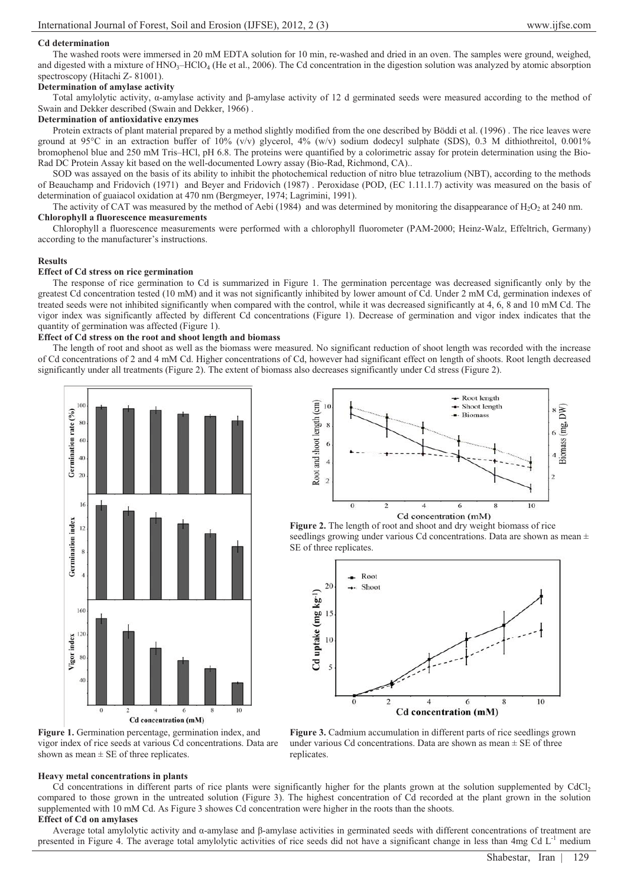#### **Cd determination**

The washed roots were immersed in 20 mM EDTA solution for 10 min, re-washed and dried in an oven. The samples were ground, weighed, and digested with a mixture of  $HNO<sub>3</sub>-HClO<sub>4</sub>$  (He et al., 2006). The Cd concentration in the digestion solution was analyzed by atomic absorption spectroscopy (Hitachi Z- 81001).

## **Determination of amylase activity**

Total amylolytic activity,  $\alpha$ -amylase activity and  $\beta$ -amylase activity of 12 d germinated seeds were measured according to the method of Swain and Dekker described (Swain and Dekker, 1966) .

#### **Determination of antioxidative enzymes**

Protein extracts of plant material prepared by a method slightly modified from the one described by Böddi et al. (1996). The rice leaves were ground at 95 $^{\circ}$ C in an extraction buffer of 10% (v/v) glycerol, 4% (w/v) sodium dodecyl sulphate (SDS), 0.3 M dithiothreitol, 0.001% bromophenol blue and 250 mM Tris–HCl, pH 6.8. The proteins were quantified by a colorimetric assay for protein determination using the Bio-Rad DC Protein Assay kit based on the well-documented Lowry assay (Bio-Rad, Richmond, CA)..

SOD was assayed on the basis of its ability to inhibit the photochemical reduction of nitro blue tetrazolium (NBT), according to the methods of Beauchamp and Fridovich (1971) and Beyer and Fridovich (1987) . Peroxidase (POD, (EC 1.11.1.7) activity was measured on the basis of determination of guaiacol oxidation at 470 nm (Bergmeyer, 1974; Lagrimini, 1991).

The activity of CAT was measured by the method of Aebi (1984) and was determined by monitoring the disappearance of  $H_2O_2$  at 240 nm. **Chlorophyll a fluorescence measurements** 

Chlorophyll a fluorescence measurements were performed with a chlorophyll fluorometer (PAM-2000; Heinz-Walz, Effeltrich, Germany) according to the manufacturer's instructions.

#### **Results**

# **Effect of Cd stress on rice germination**

The response of rice germination to Cd is summarized in Figure 1. The germination percentage was decreased significantly only by the greatest Cd concentration tested (10 mM) and it was not significantly inhibited by lower amount of Cd. Under 2 mM Cd, germination indexes of treated seeds were not inhibited significantly when compared with the control, while it was decreased significantly at 4, 6, 8 and 10 mM Cd. The vigor index was significantly affected by different Cd concentrations (Figure 1). Decrease of germination and vigor index indicates that the quantity of germination was affected (Figure 1).

## **Effect of Cd stress on the root and shoot length and biomass**

The length of root and shoot as well as the biomass were measured. No significant reduction of shoot length was recorded with the increase of Cd concentrations of 2 and 4 mM Cd. Higher concentrations of Cd, however had significant effect on length of shoots. Root length decreased significantly under all treatments (Figure 2). The extent of biomass also decreases significantly under Cd stress (Figure 2).





**Figure 2.** The length of root and shoot and dry weight biomass of rice seedlings growing under various Cd concentrations. Data are shown as mean  $\pm$ SE of three replicates.



**Figure 1.** Germination percentage, germination index, and vigor index of rice seeds at various Cd concentrations. Data are shown as mean  $\pm$  SE of three replicates.

**Figure 3.** Cadmium accumulation in different parts of rice seedlings grown under various Cd concentrations. Data are shown as mean  $\pm$  SE of three replicates.

# **Heavy metal concentrations in plants**

Cd concentrations in different parts of rice plants were significantly higher for the plants grown at the solution supplemented by CdCl2 compared to those grown in the untreated solution (Figure 3). The highest concentration of Cd recorded at the plant grown in the solution supplemented with 10 mM Cd. As Figure 3 showes Cd concentration were higher in the roots than the shoots.

**Effect of Cd on amylases** 

Average total amylolytic activity and  $\alpha$ -amylase and  $\beta$ -amylase activities in germinated seeds with different concentrations of treatment are presented in Figure 4. The average total amylolytic activities of rice seeds did not have a significant change in less than  $4mg$  Cd  $L<sup>-1</sup>$  medium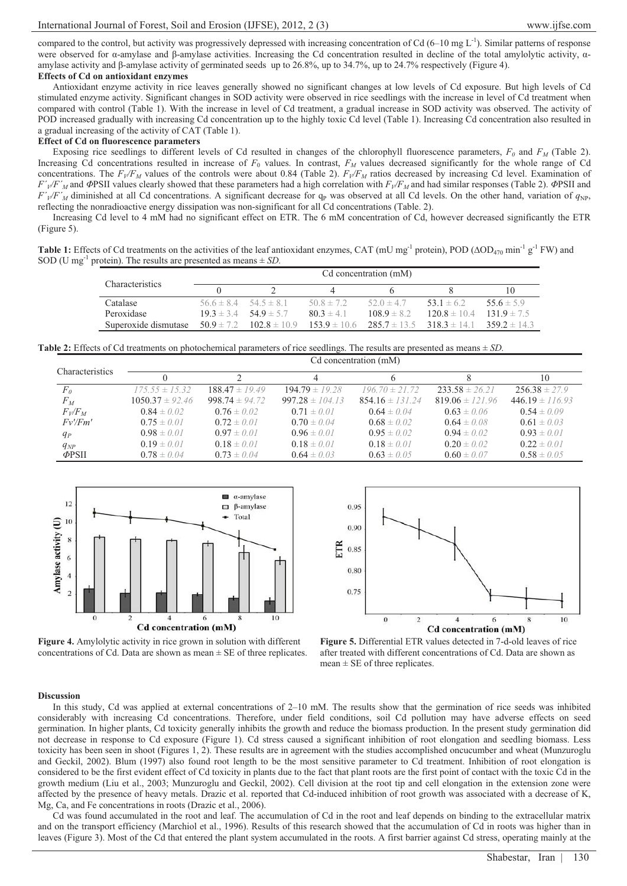compared to the control, but activity was progressively depressed with increasing concentration of Cd  $(6-10 \text{ mg L}^{-1})$ . Similar patterns of response were observed for  $\alpha$ -amylase and  $\beta$ -amylase activities. Increasing the Cd concentration resulted in decline of the total amylolytic activity,  $\alpha$ amylase activity and  $\beta$ -amylase activity of germinated seeds up to 26.8%, up to 34.7%, up to 24.7% respectively (Figure 4). **Effects of Cd on antioxidant enzymes** 

Antioxidant enzyme activity in rice leaves generally showed no significant changes at low levels of Cd exposure. But high levels of Cd stimulated enzyme activity. Significant changes in SOD activity were observed in rice seedlings with the increase in level of Cd treatment when compared with control (Table 1). With the increase in level of Cd treatment, a gradual increase in SOD activity was observed. The activity of POD increased gradually with increasing Cd concentration up to the highly toxic Cd level (Table 1). Increasing Cd concentration also resulted in a gradual increasing of the activity of CAT (Table 1).

#### **Effect of Cd on fluorescence parameters**

Exposing rice seedlings to different levels of Cd resulted in changes of the chlorophyll fluorescence parameters,  $F_0$  and  $F_M$  (Table 2). Increasing Cd concentrations resulted in increase of *F*0 values. In contrast, *FM* values decreased significantly for the whole range of Cd concentrations. The  $F_V/F_M$  values of the controls were about 0.84 (Table 2).  $F_V/F_M$  ratios decreased by increasing Cd level. Examination of  $F'/F'_{M}$  and  $\Phi$ PSII values clearly showed that these parameters had a high correlation with  $F_{V}/F_{M}$  and had similar responses (Table 2).  $\Phi$ PSII and  $F'_{V}/F'_{M}$  diminished at all Cd concentrations. A significant decrease for  $q_{P}$  was observed at all Cd levels. On the other hand, variation of  $q_{NP}$ , reflecting the nonradioactive energy dissipation was non-significant for all Cd concentrations (Table. 2).

Increasing Cd level to 4 mM had no significant effect on ETR. The 6 mM concentration of Cd, however decreased significantly the ETR (Figure 5).

**Table 1:** Effects of Cd treatments on the activities of the leaf antioxidant enzymes, CAT (mU mg<sup>-1</sup> protein), POD ( $\Delta OD_{470}$  min<sup>-1</sup> g<sup>-1</sup> FW) and SOD (U mg<sup>-1</sup> protein). The results are presented as means  $\pm$  *SD*.

|                        | Cd concentration (mM)         |                                 |                |                                                                     |                  |                 |  |
|------------------------|-------------------------------|---------------------------------|----------------|---------------------------------------------------------------------|------------------|-----------------|--|
| <b>Characteristics</b> |                               |                                 |                |                                                                     |                  | 10              |  |
| Catalase               | $56.6 \pm 8.4$ $54.5 \pm 8.1$ |                                 | $50.8 \pm 7.2$ | $52.0 \pm 4.7$                                                      | 53.1 $\pm$ 6.2   | 55.6 $\pm$ 5.9  |  |
| Peroxidase             |                               | $19.3 \pm 3.4$ 54.9 $\pm$ 5.7   | $80.3 \pm 4.1$ | $108.9 \pm 8.2$                                                     | $120.8 \pm 10.4$ | $131.9 \pm 7.5$ |  |
| Superoxide dismutase   |                               | $50.9 \pm 7.2$ $102.8 \pm 10.9$ |                | $153.9 \pm 10.6$ $285.7 \pm 13.5$ $318.3 \pm 14.1$ $359.2 \pm 14.3$ |                  |                 |  |

**Table 2:** Effects of Cd treatments on photochemical parameters of rice seedlings. The results are presented as means ± *SD.*

|                 | Cd concentration (mM) |                    |                     |                     |                     |                     |  |  |
|-----------------|-----------------------|--------------------|---------------------|---------------------|---------------------|---------------------|--|--|
| Characteristics |                       |                    | 4                   |                     |                     | 10                  |  |  |
| F <sub>0</sub>  | $175.55 \pm 15.32$    | $188.47 \pm 19.49$ | $194.79 \pm 19.28$  | $196.70 \pm 21.72$  | $233.58 \pm 26.21$  | $256.38 \pm 27.9$   |  |  |
| $F_M$           | $1050.37 \pm 92.46$   | $998.74 \pm 94.72$ | $997.28 \pm 104.13$ | $854.16 \pm 131.24$ | $819.06 \pm 121.96$ | $446.19 \pm 116.93$ |  |  |
| $F_V/F_M$       | $0.84 \pm 0.02$       | $0.76 \pm 0.02$    | $0.71 \pm 0.01$     | $0.64 \pm 0.04$     | $0.63 \pm 0.06$     | $0.54 \pm 0.09$     |  |  |
| Fv/Fm'          | $0.75 \pm 0.01$       | $0.72 \pm 0.01$    | $0.70 \pm 0.04$     | $0.68 \pm 0.02$     | $0.64 \pm 0.08$     | $0.61 \pm 0.03$     |  |  |
| $q_P$           | $0.98 \pm 0.01$       | $0.97 \pm 0.01$    | $0.96 \pm 0.01$     | $0.95 \pm 0.02$     | $0.94 \pm 0.02$     | $0.93 \pm 0.01$     |  |  |
| $q_{NP}$        | $0.19 \pm 0.01$       | $0.18 \pm 0.01$    | $0.18 \pm 0.01$     | $0.18 \pm 0.01$     | $0.20 \pm 0.02$     | $0.22 \pm 0.01$     |  |  |
| $\phi$ PSII     | $0.78 \pm 0.04$       | $0.73 \pm 0.04$    | $0.64 \pm 0.03$     | $0.63 \pm 0.05$     | $0.60 \pm 0.07$     | $0.58 \pm 0.05$     |  |  |





**Figure 4.** Amylolytic activity in rice grown in solution with different concentrations of Cd. Data are shown as mean  $\pm$  SE of three replicates.



## **Discussion**

In this study, Cd was applied at external concentrations of 2–10 mM. The results show that the germination of rice seeds was inhibited considerably with increasing Cd concentrations. Therefore, under field conditions, soil Cd pollution may have adverse effects on seed germination. In higher plants, Cd toxicity generally inhibits the growth and reduce the biomass production. In the present study germination did not decrease in response to Cd exposure (Figure 1). Cd stress caused a significant inhibition of root elongation and seedling biomass. Less toxicity has been seen in shoot (Figures 1, 2). These results are in agreement with the studies accomplished oncucumber and wheat (Munzuroglu and Geckil, 2002). Blum (1997) also found root length to be the most sensitive parameter to Cd treatment. Inhibition of root elongation is considered to be the first evident effect of Cd toxicity in plants due to the fact that plant roots are the first point of contact with the toxic Cd in the growth medium (Liu et al., 2003; Munzuroglu and Geckil, 2002). Cell division at the root tip and cell elongation in the extension zone were affected by the presence of heavy metals. Drazic et al. reported that Cd-induced inhibition of root growth was associated with a decrease of K, Mg, Ca, and Fe concentrations in roots (Drazic et al., 2006).

Cd was found accumulated in the root and leaf. The accumulation of Cd in the root and leaf depends on binding to the extracellular matrix and on the transport efficiency (Marchiol et al., 1996). Results of this research showed that the accumulation of Cd in roots was higher than in leaves (Figure 3). Most of the Cd that entered the plant system accumulated in the roots. A first barrier against Cd stress, operating mainly at the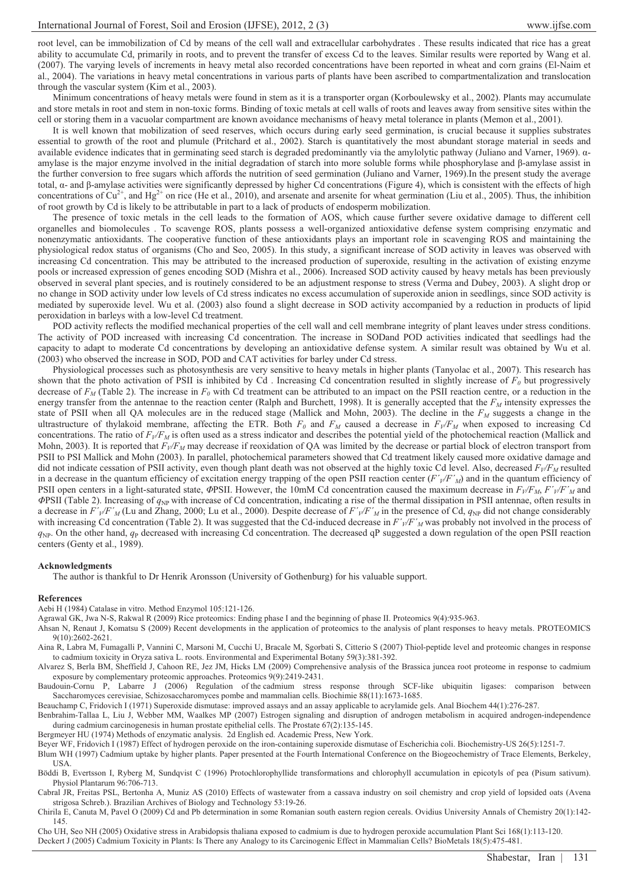root level, can be immobilization of Cd by means of the cell wall and extracellular carbohydrates . These results indicated that rice has a great ability to accumulate Cd, primarily in roots, and to prevent the transfer of excess Cd to the leaves. Similar results were reported by Wang et al. (2007). The varying levels of increments in heavy metal also recorded concentrations have been reported in wheat and corn grains (El-Naim et al., 2004). The variations in heavy metal concentrations in various parts of plants have been ascribed to compartmentalization and translocation through the vascular system (Kim et al., 2003).

Minimum concentrations of heavy metals were found in stem as it is a transporter organ (Korboulewsky et al., 2002). Plants may accumulate and store metals in root and stem in non-toxic forms. Binding of toxic metals at cell walls of roots and leaves away from sensitive sites within the cell or storing them in a vacuolar compartment are known avoidance mechanisms of heavy metal tolerance in plants (Memon et al., 2001).

It is well known that mobilization of seed reserves, which occurs during early seed germination, is crucial because it supplies substrates essential to growth of the root and plumule (Pritchard et al., 2002). Starch is quantitatively the most abundant storage material in seeds and available evidence indicates that in germinating seed starch is degraded predominantly via the amylolytic pathway (Juliano and Varner, 1969).  $\alpha$ amylase is the major enzyme involved in the initial degradation of starch into more soluble forms while phosphorylase and  $\beta$ -amylase assist in the further conversion to free sugars which affords the nutrition of seed germination (Juliano and Varner, 1969).In the present study the average total,  $\alpha$ - and  $\beta$ -amylase activities were significantly depressed by higher Cd concentrations (Figure 4), which is consistent with the effects of high concentrations of  $Cu^{2+}$ , and Hg<sup>2+</sup> on rice (He et al., 2010), and arsenate and arsenite for wheat germination (Liu et al., 2005). Thus, the inhibition of root growth by Cd is likely to be attributable in part to a lack of products of endosperm mobilization.

The presence of toxic metals in the cell leads to the formation of AOS, which cause further severe oxidative damage to different cell organelles and biomolecules . To scavenge ROS, plants possess a well-organized antioxidative defense system comprising enzymatic and nonenzymatic antioxidants. The cooperative function of these antioxidants plays an important role in scavenging ROS and maintaining the physiological redox status of organisms (Cho and Seo, 2005). In this study, a significant increase of SOD activity in leaves was observed with increasing Cd concentration. This may be attributed to the increased production of superoxide, resulting in the activation of existing enzyme pools or increased expression of genes encoding SOD (Mishra et al., 2006). Increased SOD activity caused by heavy metals has been previously observed in several plant species, and is routinely considered to be an adjustment response to stress (Verma and Dubey, 2003). A slight drop or no change in SOD activity under low levels of Cd stress indicates no excess accumulation of superoxide anion in seedlings, since SOD activity is mediated by superoxide level. Wu et al. (2003) also found a slight decrease in SOD activity accompanied by a reduction in products of lipid peroxidation in barleys with a low-level Cd treatment.

POD activity reflects the modified mechanical properties of the cell wall and cell membrane integrity of plant leaves under stress conditions. The activity of POD increased with increasing Cd concentration. The increase in SODand POD activities indicated that seedlings had the capacity to adapt to moderate Cd concentrations by developing an antioxidative defense system. A similar result was obtained by Wu et al. (2003) who observed the increase in SOD, POD and CAT activities for barley under Cd stress.

Physiological processes such as photosynthesis are very sensitive to heavy metals in higher plants (Tanyolac et al., 2007). This research has shown that the photo activation of PSII is inhibited by Cd. Increasing Cd concentration resulted in slightly increase of  $F<sub>0</sub>$  but progressively decrease of  $F<sub>M</sub>$  (Table 2). The increase in  $F<sub>0</sub>$  with Cd treatment can be attributed to an impact on the PSII reaction centre, or a reduction in the energy transfer from the antennae to the reaction center (Ralph and Burchett, 1998). It is generally accepted that the  $F<sub>M</sub>$  intensity expresses the state of PSII when all QA molecules are in the reduced stage (Mallick and Mohn, 2003). The decline in the *FM* suggests a change in the ultrastructure of thylakoid membrane, affecting the ETR. Both  $F_0$  and  $F_M$  caused a decrease in  $F_V/F_M$  when exposed to increasing Cd concentrations. The ratio of  $F_V/F_M$  is often used as a stress indicator and describes the potential yield of the photochemical reaction (Mallick and Mohn, 2003). It is reported that  $F_V/F_M$  may decrease if reoxidation of QA was limited by the decrease or partial block of electron transport from PSII to PSI Mallick and Mohn (2003). In parallel, photochemical parameters showed that Cd treatment likely caused more oxidative damage and did not indicate cessation of PSII activity, even though plant death was not observed at the highly toxic Cd level. Also, decreased *FV/FM* resulted in a decrease in the quantum efficiency of excitation energy trapping of the open PSII reaction center  $(F/\sqrt{F^2})$  and in the quantum efficiency of PSII open centers in a light-saturated state,  $\Phi$ PSII. However, the 10mM Cd concentration caused the maximum decrease in  $F_V/F_M$ ,  $F'_{V}/F'_{M}$  and *-*PSII (Table 2). Increasing of *q*NP with increase of Cd concentration, indicating a rise of the thermal dissipation in PSII antennae, often results in a decrease in  $F'_{V}/F'_{M}$  (Lu and Zhang, 2000; Lu et al., 2000). Despite decrease of  $F'_{V}/F'_{M}$  in the presence of Cd,  $q_{NP}$  did not change considerably with increasing Cd concentration (Table 2). It was suggested that the Cd-induced decrease in  $F'/\sqrt{F'}_M$  was probably not involved in the process of  $q_{NP}$ . On the other hand,  $q_P$  decreased with increasing Cd concentration. The decreased qP suggested a down regulation of the open PSII reaction centers (Genty et al., 1989).

#### **Acknowledgments**

The author is thankful to Dr Henrik Aronsson (University of Gothenburg) for his valuable support.

#### **References**

Aebi H (1984) Catalase in vitro. Method Enzymol 105:121-126.

Agrawal GK, Jwa N-S, Rakwal R (2009) Rice proteomics: Ending phase I and the beginning of phase II. Proteomics 9(4):935-963.

Ahsan N, Renaut J, Komatsu S (2009) Recent developments in the application of proteomics to the analysis of plant responses to heavy metals. PROTEOMICS 9(10):2602-2621.

Aina R, Labra M, Fumagalli P, Vannini C, Marsoni M, Cucchi U, Bracale M, Sgorbati S, Citterio S (2007) Thiol-peptide level and proteomic changes in response to cadmium toxicity in Oryza sativa L. roots. Environmental and Experimental Botany 59(3):381-392.

Alvarez S, Berla BM, Sheffield J, Cahoon RE, Jez JM, Hicks LM (2009) Comprehensive analysis of the Brassica juncea root proteome in response to cadmium exposure by complementary proteomic approaches. Proteomics 9(9):2419-2431.

Baudouin-Cornu P, Labarre J (2006) Regulation of the cadmium stress response through SCF-like ubiquitin ligases: comparison between Saccharomyces cerevisiae, Schizosaccharomyces pombe and mammalian cells. Biochimie 88(11):1673-1685.

Beauchamp C, Fridovich I (1971) Superoxide dismutase: improved assays and an assay applicable to acrylamide gels. Anal Biochem 44(1):276-287.

Benbrahim-Tallaa L, Liu J, Webber MM, Waalkes MP (2007) Estrogen signaling and disruption of androgen metabolism in acquired androgen-independence during cadmium carcinogenesis in human prostate epithelial cells. The Prostate 67(2):135-145.

Bergmeyer HU (1974) Methods of enzymatic analysis. 2d English ed. Academic Press, New York.

Beyer WF, Fridovich I (1987) Effect of hydrogen peroxide on the iron-containing superoxide dismutase of Escherichia coli. Biochemistry-US 26(5):1251-7.

Blum WH (1997) Cadmium uptake by higher plants. Paper presented at the Fourth International Conference on the Biogeochemistry of Trace Elements, Berkeley, **USA** 

Böddi B, Evertsson I, Ryberg M, Sundqvist C (1996) Protochlorophyllide transformations and chlorophyll accumulation in epicotyls of pea (Pisum sativum). Physiol Plantarum 96:706-713.

Cabral JR, Freitas PSL, Bertonha A, Muniz AS (2010) Effects of wastewater from a cassava industry on soil chemistry and crop yield of lopsided oats (Avena strigosa Schreb.). Brazilian Archives of Biology and Technology 53:19-26.

Chirila E, Canuta M, Pavel O (2009) Cd and Pb determination in some Romanian south eastern region cereals. Ovidius University Annals of Chemistry 20(1):142- 145.

Cho UH, Seo NH (2005) Oxidative stress in Arabidopsis thaliana exposed to cadmium is due to hydrogen peroxide accumulation Plant Sci 168(1):113-120. Deckert J (2005) Cadmium Toxicity in Plants: Is There any Analogy to its Carcinogenic Effect in Mammalian Cells? BioMetals 18(5):475-481.